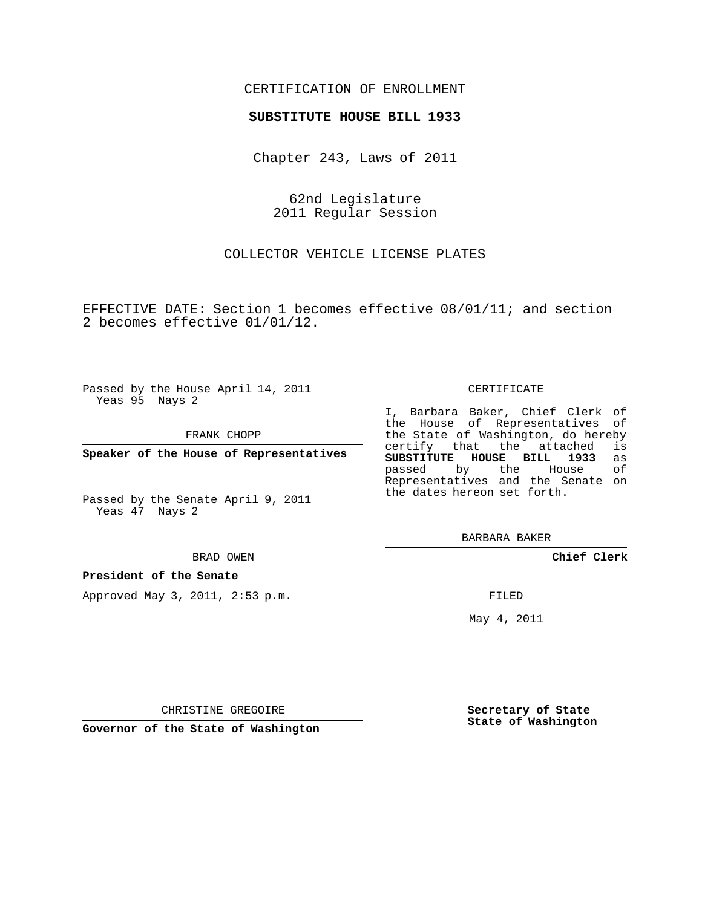### CERTIFICATION OF ENROLLMENT

#### **SUBSTITUTE HOUSE BILL 1933**

Chapter 243, Laws of 2011

62nd Legislature 2011 Regular Session

COLLECTOR VEHICLE LICENSE PLATES

EFFECTIVE DATE: Section 1 becomes effective 08/01/11; and section 2 becomes effective 01/01/12.

Passed by the House April 14, 2011 Yeas 95 Nays 2

FRANK CHOPP

**Speaker of the House of Representatives**

Passed by the Senate April 9, 2011 Yeas 47 Nays 2

#### BRAD OWEN

#### **President of the Senate**

Approved May 3, 2011, 2:53 p.m.

#### CERTIFICATE

I, Barbara Baker, Chief Clerk of the House of Representatives of the State of Washington, do hereby<br>certify that the attached is certify that the attached **SUBSTITUTE HOUSE BILL 1933** as passed by the House Representatives and the Senate on the dates hereon set forth.

BARBARA BAKER

**Chief Clerk**

FILED

May 4, 2011

**Secretary of State State of Washington**

CHRISTINE GREGOIRE

**Governor of the State of Washington**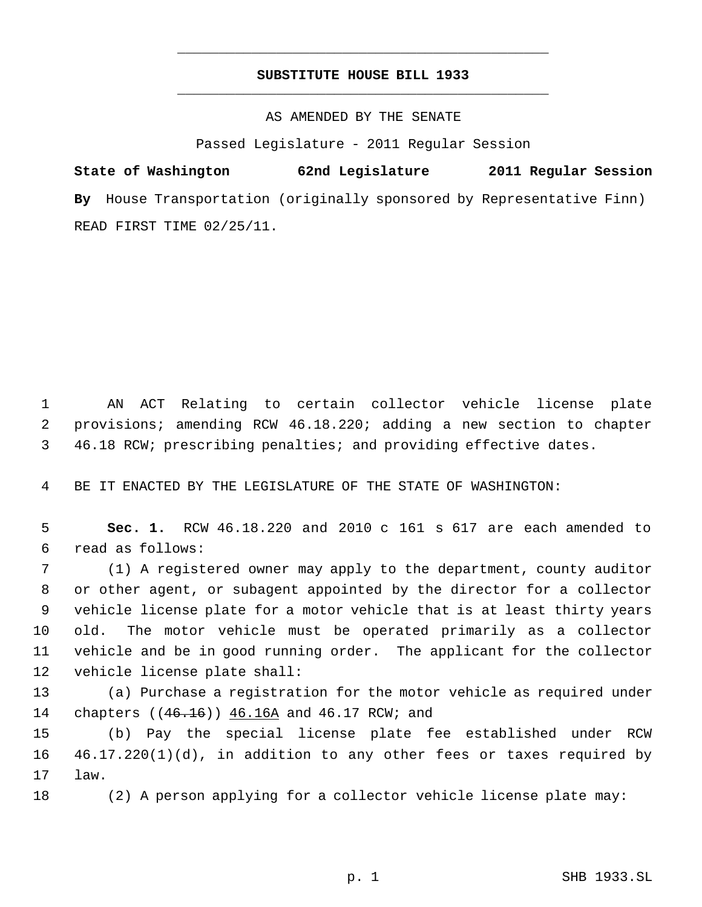## **SUBSTITUTE HOUSE BILL 1933** \_\_\_\_\_\_\_\_\_\_\_\_\_\_\_\_\_\_\_\_\_\_\_\_\_\_\_\_\_\_\_\_\_\_\_\_\_\_\_\_\_\_\_\_\_

\_\_\_\_\_\_\_\_\_\_\_\_\_\_\_\_\_\_\_\_\_\_\_\_\_\_\_\_\_\_\_\_\_\_\_\_\_\_\_\_\_\_\_\_\_

AS AMENDED BY THE SENATE

Passed Legislature - 2011 Regular Session

**State of Washington 62nd Legislature 2011 Regular Session By** House Transportation (originally sponsored by Representative Finn) READ FIRST TIME 02/25/11.

 AN ACT Relating to certain collector vehicle license plate provisions; amending RCW 46.18.220; adding a new section to chapter 46.18 RCW; prescribing penalties; and providing effective dates.

BE IT ENACTED BY THE LEGISLATURE OF THE STATE OF WASHINGTON:

 **Sec. 1.** RCW 46.18.220 and 2010 c 161 s 617 are each amended to read as follows:

 (1) A registered owner may apply to the department, county auditor or other agent, or subagent appointed by the director for a collector vehicle license plate for a motor vehicle that is at least thirty years old. The motor vehicle must be operated primarily as a collector vehicle and be in good running order. The applicant for the collector vehicle license plate shall:

 (a) Purchase a registration for the motor vehicle as required under 14 chapters ((46.16)) 46.16A and 46.17 RCW; and

 (b) Pay the special license plate fee established under RCW 46.17.220(1)(d), in addition to any other fees or taxes required by law.

(2) A person applying for a collector vehicle license plate may: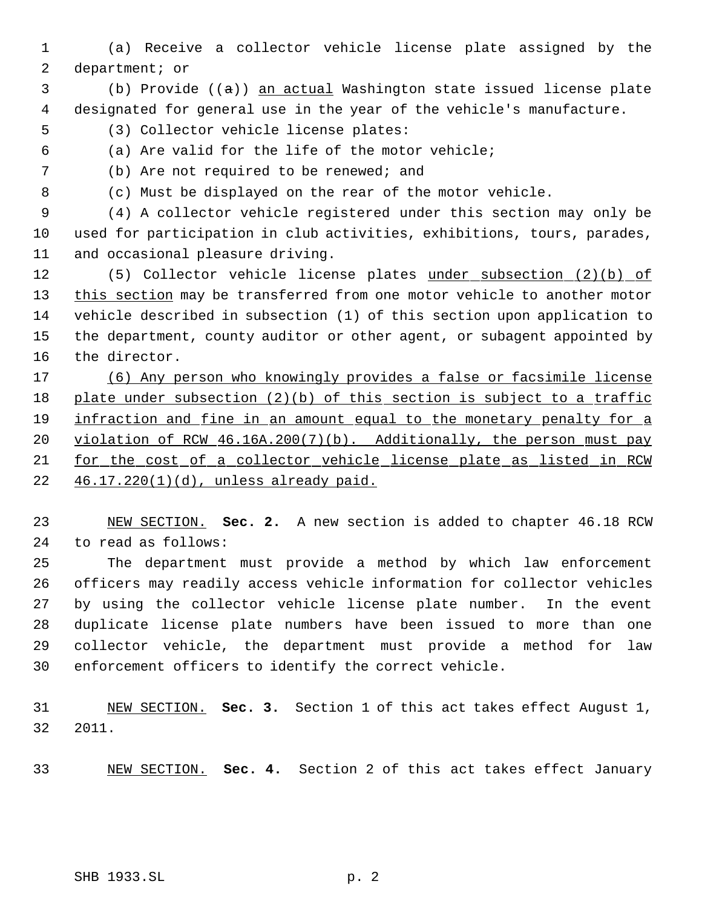- (a) Receive a collector vehicle license plate assigned by the department; or
- (b) Provide ((a)) an actual Washington state issued license plate designated for general use in the year of the vehicle's manufacture.
- (3) Collector vehicle license plates:
- (a) Are valid for the life of the motor vehicle;
- (b) Are not required to be renewed; and
- 

(c) Must be displayed on the rear of the motor vehicle.

 (4) A collector vehicle registered under this section may only be used for participation in club activities, exhibitions, tours, parades, and occasional pleasure driving.

12 (5) Collector vehicle license plates under subsection (2)(b) of 13 this section may be transferred from one motor vehicle to another motor vehicle described in subsection (1) of this section upon application to the department, county auditor or other agent, or subagent appointed by the director.

 (6) Any person who knowingly provides a false or facsimile license 18 plate under subsection (2)(b) of this section is subject to a traffic 19 infraction and fine in an amount equal to the monetary penalty for a violation of RCW 46.16A.200(7)(b). Additionally, the person must pay for the cost of a collector vehicle license plate as listed in RCW 46.17.220(1)(d), unless already paid.

 NEW SECTION. **Sec. 2.** A new section is added to chapter 46.18 RCW to read as follows:

 The department must provide a method by which law enforcement officers may readily access vehicle information for collector vehicles by using the collector vehicle license plate number. In the event duplicate license plate numbers have been issued to more than one collector vehicle, the department must provide a method for law enforcement officers to identify the correct vehicle.

 NEW SECTION. **Sec. 3.** Section 1 of this act takes effect August 1, 2011.

NEW SECTION. **Sec. 4.** Section 2 of this act takes effect January